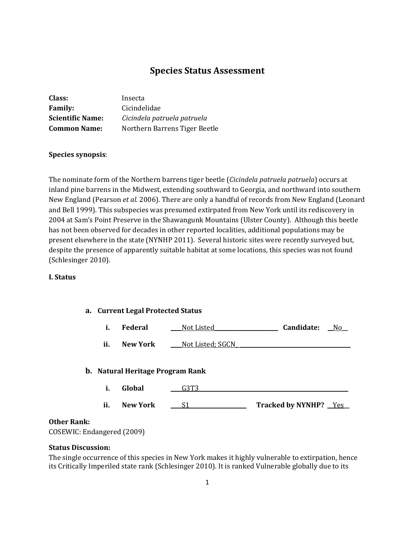# **Species Status Assessment**

| Class:                  | Insecta                       |
|-------------------------|-------------------------------|
| <b>Family:</b>          | Cicindelidae                  |
| <b>Scientific Name:</b> | Cicindela patruela patruela   |
| <b>Common Name:</b>     | Northern Barrens Tiger Beetle |

### **Species synopsis**:

The nominate form of the Northern barrens tiger beetle (*Cicindela patruela patruela*) occurs at inland pine barrens in the Midwest, extending southward to Georgia, and northward into southern New England (Pearson *et al.* 2006). There are only a handful of records from New England (Leonard and Bell 1999). This subspecies was presumed extirpated from New York until its rediscovery in 2004 at Sam's Point Preserve in the Shawangunk Mountains (Ulster County). Although this beetle has not been observed for decades in other reported localities, additional populations may be present elsewhere in the state (NYNHP 2011). Several historic sites were recently surveyed but, despite the presence of apparently suitable habitat at some locations, this species was not found (Schlesinger 2010).

#### **I. Status**

### **a. Current Legal Protected Status**

|  | Federal | Not Listed | Candidate: | No |
|--|---------|------------|------------|----|
|--|---------|------------|------------|----|

**ii. New York Desimber Mot Listed; SGCN** 

### **b. Natural Heritage Program Rank**

**i. Global \_\_\_\_**G3T3**\_\_\_\_\_\_\_\_\_\_\_\_\_\_\_\_\_\_\_\_\_\_\_\_\_\_\_\_\_\_\_\_\_\_\_\_\_\_\_\_\_\_\_\_\_\_\_\_\_\_\_\_\_\_ ii. New York** <u>**\_\_\_\_S1 \_\_\_\_\_\_\_\_\_\_\_\_\_\_\_\_\_\_ Tracked by NYNHP?** \_\_Yes\_\_</u>

### **Other Rank:**

COSEWIC: Endangered (2009)

### **Status Discussion:**

The single occurrence of this species in New York makes it highly vulnerable to extirpation, hence its Critically Imperiled state rank (Schlesinger 2010). It is ranked Vulnerable globally due to its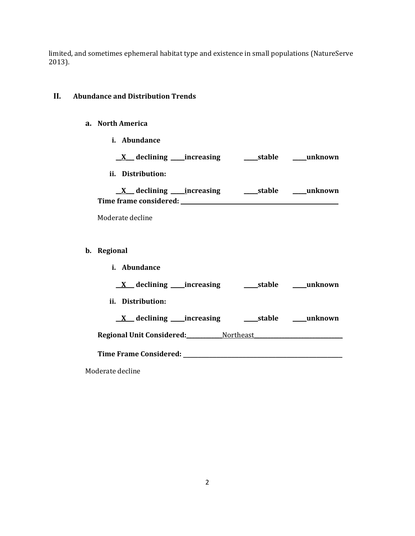limited, and sometimes ephemeral habitat type and existence in small populations (NatureServe 2013).

### **II. Abundance and Distribution Trends**

### **a. North America**

**i. Abundance**

| $\underline{X}$ declining _____ increasing         | stable | unknown |
|----------------------------------------------------|--------|---------|
| ii. Distribution:                                  |        |         |
| $X$ declining increasing<br>Time frame considered: | stable | unknown |
| Moderate decline                                   |        |         |

- **b. Regional**
	- **i. Abundance \_\_X\_\_\_ declining \_\_\_\_\_increasing \_\_\_\_\_stable \_\_\_\_\_unknown ii. Distribution: \_\_X\_\_\_ declining \_\_\_\_\_increasing \_\_\_\_\_stable \_\_\_\_\_unknown Regional Unit Considered:\_\_\_\_\_\_\_\_\_\_\_\_\_**Northeast**\_\_\_\_\_\_\_\_\_\_\_\_\_\_\_\_\_\_\_\_\_\_\_\_\_\_\_\_\_\_\_\_**

**Time Frame Considered: with the constant of the constant of the constant of the constant of the constant of the constant of the constant of the constant of the constant of the constant of the constant of the constant of** 

Moderate decline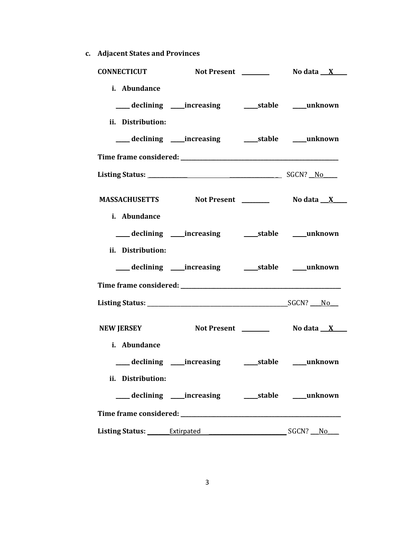**c. Adjacent States and Provinces**

| <b>CONNECTICUT</b> |                                     |  |
|--------------------|-------------------------------------|--|
| i. Abundance       |                                     |  |
|                    |                                     |  |
| ii. Distribution:  |                                     |  |
|                    |                                     |  |
|                    |                                     |  |
|                    |                                     |  |
|                    | MASSACHUSETTS Not Present No data X |  |
| i. Abundance       |                                     |  |
|                    |                                     |  |
| ii. Distribution:  |                                     |  |
|                    |                                     |  |
|                    |                                     |  |
|                    |                                     |  |
| <b>NEW JERSEY</b>  |                                     |  |
| i. Abundance       |                                     |  |
|                    |                                     |  |
| ii. Distribution:  |                                     |  |
|                    |                                     |  |
|                    |                                     |  |
|                    |                                     |  |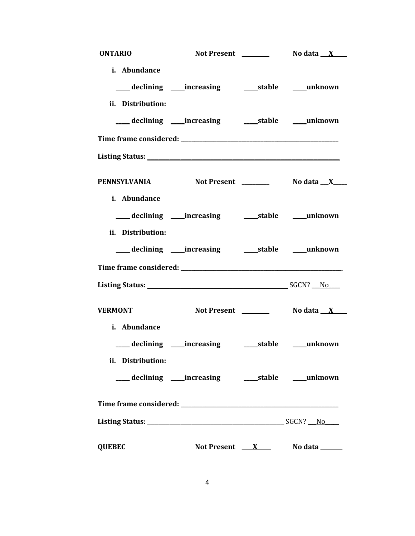| <b>ONTARIO</b>                    |                                    |                             |
|-----------------------------------|------------------------------------|-----------------------------|
| i. Abundance                      |                                    |                             |
|                                   |                                    |                             |
| ii. Distribution:                 |                                    |                             |
|                                   |                                    |                             |
|                                   |                                    |                             |
|                                   |                                    |                             |
|                                   | PENNSYLVANIA Not Present No data X |                             |
| i. Abundance                      |                                    |                             |
| ii. Distribution:                 |                                    |                             |
|                                   |                                    |                             |
|                                   |                                    |                             |
| <b>VERMONT</b>                    |                                    |                             |
| i. Abundance<br>ii. Distribution: |                                    |                             |
|                                   |                                    |                             |
|                                   |                                    |                             |
|                                   |                                    |                             |
| <b>QUEBEC</b>                     |                                    | Not Present $X$ No data $X$ |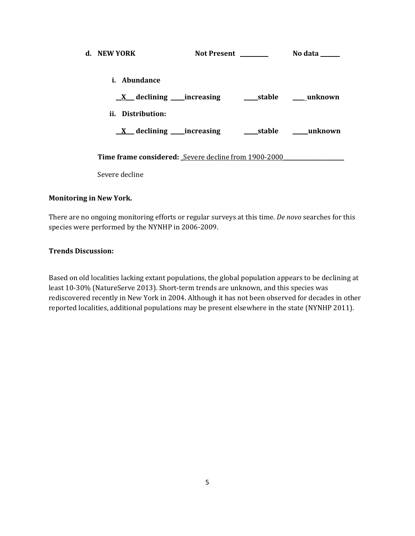| d. NEW YORK                                          | <b>Not Present</b>                            | No data                             |
|------------------------------------------------------|-----------------------------------------------|-------------------------------------|
| <i>i.</i> Abundance                                  |                                               |                                     |
|                                                      | <u>X</u> declining increasing stable mush own |                                     |
| ii. Distribution:                                    |                                               |                                     |
| $\underline{X}$ declining _____ increasing           |                                               | stable <b>manual</b> <u>unknown</u> |
| Time frame considered: Severe decline from 1900-2000 |                                               |                                     |
| Severe decline                                       |                                               |                                     |

### **Monitoring in New York.**

There are no ongoing monitoring efforts or regular surveys at this time. *De novo* searches for this species were performed by the NYNHP in 2006-2009.

## **Trends Discussion:**

Based on old localities lacking extant populations, the global population appears to be declining at least 10-30% (NatureServe 2013). Short-term trends are unknown, and this species was rediscovered recently in New York in 2004. Although it has not been observed for decades in other reported localities, additional populations may be present elsewhere in the state (NYNHP 2011).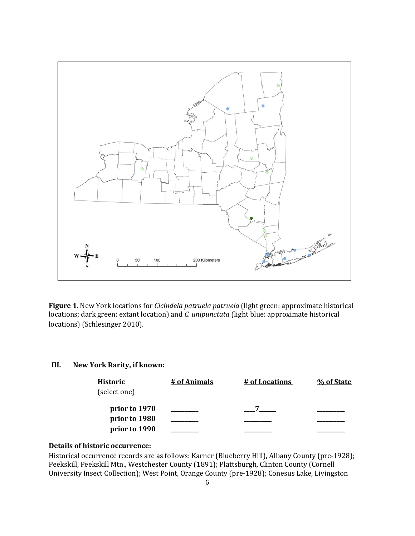

**Figure 1**. New York locations for *Cicindela patruela patruela* (light green: approximate historical locations; dark green: extant location) and *C. unipunctata* (light blue: approximate historical locations) (Schlesinger 2010).

### **III. New York Rarity, if known:**

| Historic      | # of Animals | # of Locations | % of State |
|---------------|--------------|----------------|------------|
| (select one)  |              |                |            |
| prior to 1970 |              |                |            |
| prior to 1980 |              |                |            |
| prior to 1990 |              |                |            |

### **Details of historic occurrence:**

Historical occurrence records are as follows: Karner (Blueberry Hill), Albany County (pre-1928); Peekskill, Peekskill Mtn., Westchester County (1891); Plattsburgh, Clinton County (Cornell University Insect Collection); West Point, Orange County (pre-1928); Conesus Lake, Livingston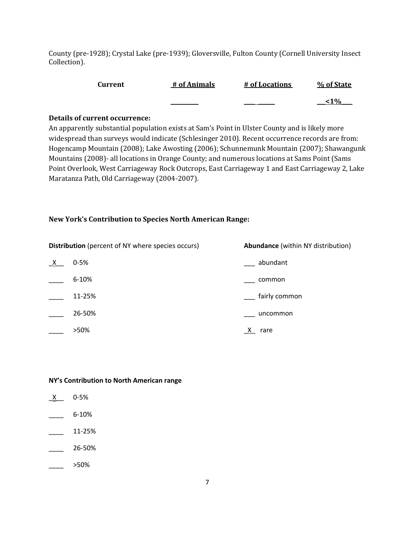County (pre-1928); Crystal Lake (pre-1939); Gloversville, Fulton County (Cornell University Insect Collection).

| Current | # of Animals | # of Locations | % of State |
|---------|--------------|----------------|------------|
|         |              |                | 1%>        |

### **Details of current occurrence:**

An apparently substantial population exists at Sam's Point in Ulster County and is likely more widespread than surveys would indicate (Schlesinger 2010). Recent occurrence records are from: Hogencamp Mountain (2008); Lake Awosting (2006); Schunnemunk Mountain (2007); Shawangunk Mountains (2008)- all locations in Orange County; and numerous locations at Sams Point (Sams Point Overlook, West Carriageway Rock Outcrops, East Carriageway 1 and East Carriageway 2, Lake Maratanza Path, Old Carriageway (2004-2007).

### **New York's Contribution to Species North American Range:**

| <b>Distribution</b> (percent of NY where species occurs) |           | Abundance (within NY distribution) |
|----------------------------------------------------------|-----------|------------------------------------|
| $\mathsf{X}$                                             | $0 - 5%$  | abundant                           |
|                                                          | $6 - 10%$ | common                             |
|                                                          | 11-25%    | fairly common                      |
|                                                          | 26-50%    | uncommon                           |
|                                                          | >50%      | rare<br>$\lambda$                  |

### **NY's Contribution to North American range**

| $0 - 5%$ |
|----------|
| 6-10%    |
| 11-25%   |
| 26-50%   |
| >50%     |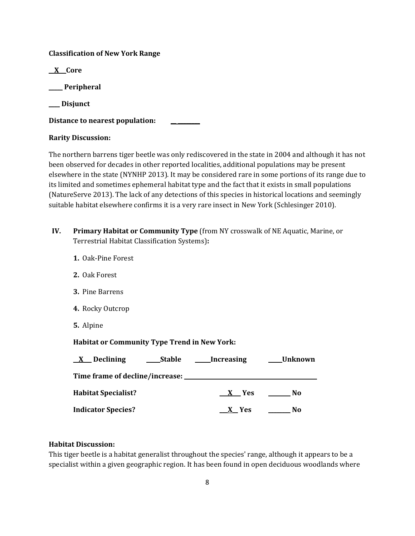## **Classification of New York Range**

**\_\_X\_\_ Core**

**\_\_\_\_\_ Peripheral**

**\_\_\_\_ Disjunct**

**Distance to nearest population: \_\_ \_\_\_\_\_\_\_\_**

## **Rarity Discussion:**

The northern barrens tiger beetle was only rediscovered in the state in 2004 and although it has not been observed for decades in other reported localities, additional populations may be present elsewhere in the state (NYNHP 2013). It may be considered rare in some portions of its range due to its limited and sometimes ephemeral habitat type and the fact that it exists in small populations (NatureServe 2013). The lack of any detections of this species in historical locations and seemingly suitable habitat elsewhere confirms it is a very rare insect in New York (Schlesinger 2010).

- **IV. Primary Habitat or Community Type** (from NY crosswalk of NE Aquatic, Marine, or Terrestrial Habitat Classification Systems)**:** 
	- **1.** Oak-Pine Forest
	- **2.** Oak Forest
	- **3.** Pine Barrens
	- **4.** Rocky Outcrop
	- **5.** Alpine

## **Habitat or Community Type Trend in New York:**

| Declining<br><b>Stable</b><br>$\mathbf{X}$ | <b>Increasing</b> | <b>Unknown</b> |
|--------------------------------------------|-------------------|----------------|
| Time frame of decline/increase: _          |                   |                |
| <b>Habitat Specialist?</b>                 | X Yes             | No.            |
| <b>Indicator Species?</b>                  | X Yes             | No             |

## **Habitat Discussion:**

This tiger beetle is a habitat generalist throughout the species' range, although it appears to be a specialist within a given geographic region. It has been found in open deciduous woodlands where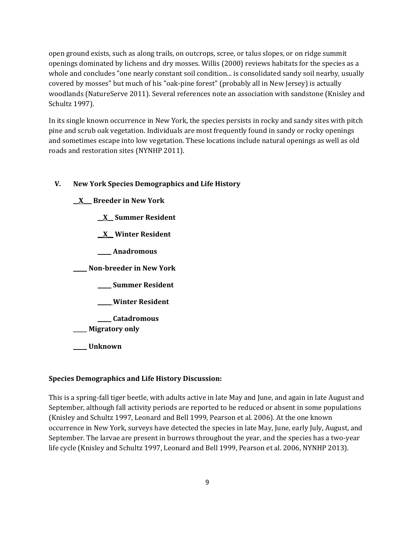open ground exists, such as along trails, on outcrops, scree, or talus slopes, or on ridge summit openings dominated by lichens and dry mosses. Willis (2000) reviews habitats for the species as a whole and concludes "one nearly constant soil condition... is consolidated sandy soil nearby, usually covered by mosses" but much of his "oak-pine forest" (probably all in New Jersey) is actually woodlands (NatureServe 2011). Several references note an association with sandstone (Knisley and Schultz 1997).

In its single known occurrence in New York, the species persists in rocky and sandy sites with pitch pine and scrub oak vegetation. Individuals are most frequently found in sandy or rocky openings and sometimes escape into low vegetation. These locations include natural openings as well as old roads and restoration sites (NYNHP 2011).

### **V. New York Species Demographics and Life History**

### **\_\_X\_\_\_ Breeder in New York**

**\_\_X\_\_ Summer Resident**

**\_\_X\_\_ Winter Resident**

**\_\_\_\_\_ Anadromous**

**\_\_\_\_\_ Non-breeder in New York**

**\_\_\_\_\_ Summer Resident**

**\_\_\_\_\_ Winter Resident**

**\_\_\_\_\_ Catadromous**

\_\_\_\_\_ **Migratory only**

**\_\_\_\_\_ Unknown**

#### **Species Demographics and Life History Discussion:**

This is a spring-fall tiger beetle, with adults active in late May and June, and again in late August and September, although fall activity periods are reported to be reduced or absent in some populations (Knisley and Schultz 1997, Leonard and Bell 1999, Pearson et al. 2006). At the one known occurrence in New York, surveys have detected the species in late May, June, early July, August, and September. The larvae are present in burrows throughout the year, and the species has a two-year life cycle (Knisley and Schultz 1997, Leonard and Bell 1999, Pearson et al. 2006, NYNHP 2013).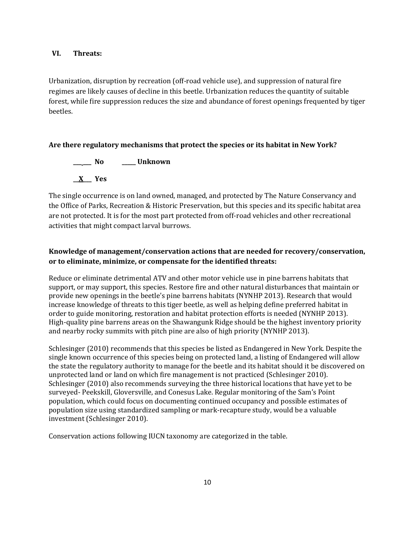### **VI. Threats:**

Urbanization, disruption by recreation (off-road vehicle use), and suppression of natural fire regimes are likely causes of decline in this beetle. Urbanization reduces the quantity of suitable forest, while fire suppression reduces the size and abundance of forest openings frequented by tiger beetles.

### **Are there regulatory mechanisms that protect the species or its habitat in New York?**

**\_\_\_ \_\_\_ No \_\_\_\_\_ Unknown \_\_X\_\_\_ Yes**

The single occurrence is on land owned, managed, and protected by The Nature Conservancy and the Office of Parks, Recreation & Historic Preservation, but this species and its specific habitat area are not protected. It is for the most part protected from off-road vehicles and other recreational activities that might compact larval burrows.

## **Knowledge of management/conservation actions that are needed for recovery/conservation, or to eliminate, minimize, or compensate for the identified threats:**

Reduce or eliminate detrimental ATV and other motor vehicle use in pine barrens habitats that support, or may support, this species. Restore fire and other natural disturbances that maintain or provide new openings in the beetle's pine barrens habitats (NYNHP 2013). Research that would increase knowledge of threats to this tiger beetle, as well as helping define preferred habitat in order to guide monitoring, restoration and habitat protection efforts is needed (NYNHP 2013). High-quality pine barrens areas on the Shawangunk Ridge should be the highest inventory priority and nearby rocky summits with pitch pine are also of high priority (NYNHP 2013).

Schlesinger (2010) recommends that this species be listed as Endangered in New York. Despite the single known occurrence of this species being on protected land, a listing of Endangered will allow the state the regulatory authority to manage for the beetle and its habitat should it be discovered on unprotected land or land on which fire management is not practiced (Schlesinger 2010). Schlesinger (2010) also recommends surveying the three historical locations that have yet to be surveyed- Peekskill, Gloversville, and Conesus Lake. Regular monitoring of the Sam's Point population, which could focus on documenting continued occupancy and possible estimates of population size using standardized sampling or mark-recapture study, would be a valuable investment (Schlesinger 2010).

Conservation actions following IUCN taxonomy are categorized in the table.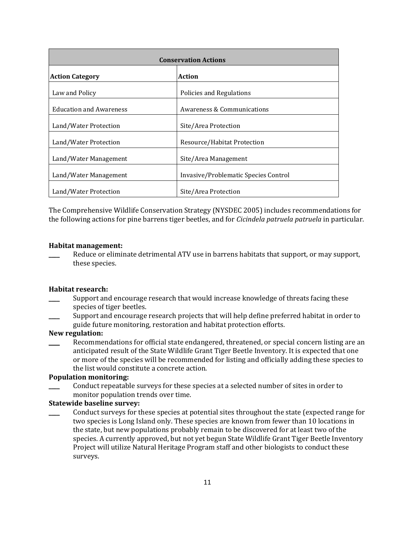| <b>Conservation Actions</b>                                   |                             |  |
|---------------------------------------------------------------|-----------------------------|--|
| <b>Action Category</b>                                        | Action                      |  |
| Law and Policy                                                | Policies and Regulations    |  |
| <b>Education and Awareness</b>                                | Awareness & Communications  |  |
| Land/Water Protection                                         | Site/Area Protection        |  |
| Land/Water Protection                                         | Resource/Habitat Protection |  |
| Land/Water Management                                         | Site/Area Management        |  |
| Land/Water Management<br>Invasive/Problematic Species Control |                             |  |
| Land/Water Protection                                         | Site/Area Protection        |  |

The Comprehensive Wildlife Conservation Strategy (NYSDEC 2005) includes recommendations for the following actions for pine barrens tiger beetles, and for *Cicindela patruela patruela* in particular.

#### **Habitat management:**

Reduce or eliminate detrimental ATV use in barrens habitats that support, or may support, these species.

#### **Habitat research:**

- Support and encourage research that would increase knowledge of threats facing these species of tiger beetles.
- Support and encourage research projects that will help define preferred habitat in order to guide future monitoring, restoration and habitat protection efforts.

## **New regulation:**

Recommendations for official state endangered, threatened, or special concern listing are an anticipated result of the State Wildlife Grant Tiger Beetle Inventory. It is expected that one or more of the species will be recommended for listing and officially adding these species to the list would constitute a concrete action.

### **Population monitoring:**

Conduct repeatable surveys for these species at a selected number of sites in order to monitor population trends over time.

### **Statewide baseline survey:**

\_\_\_\_ Conduct surveys for these species at potential sites throughout the state (expected range for two species is Long Island only. These species are known from fewer than 10 locations in the state, but new populations probably remain to be discovered for at least two of the species. A currently approved, but not yet begun State Wildlife Grant Tiger Beetle Inventory Project will utilize Natural Heritage Program staff and other biologists to conduct these surveys.